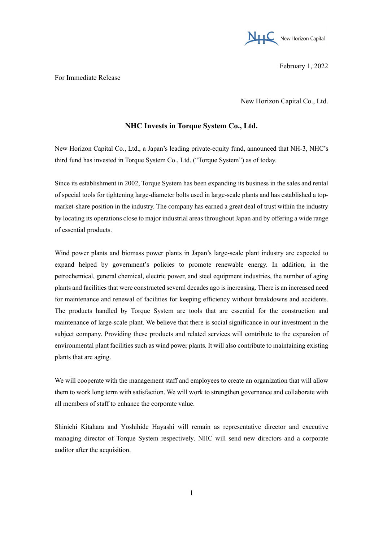

February 1, 2022

For Immediate Release

New Horizon Capital Co., Ltd.

## **NHC Invests in Torque System Co., Ltd.**

New Horizon Capital Co., Ltd., a Japan's leading private-equity fund, announced that NH-3, NHC's third fund has invested in Torque System Co., Ltd. ("Torque System") as of today.

Since its establishment in 2002, Torque System has been expanding its business in the sales and rental of special tools for tightening large-diameter bolts used in large-scale plants and has established a topmarket-share position in the industry. The company has earned a great deal of trust within the industry by locating its operations close to major industrial areas throughout Japan and by offering a wide range of essential products.

Wind power plants and biomass power plants in Japan's large-scale plant industry are expected to expand helped by government's policies to promote renewable energy. In addition, in the petrochemical, general chemical, electric power, and steel equipment industries, the number of aging plants and facilities that were constructed several decades ago is increasing. There is an increased need for maintenance and renewal of facilities for keeping efficiency without breakdowns and accidents. The products handled by Torque System are tools that are essential for the construction and maintenance of large-scale plant. We believe that there is social significance in our investment in the subject company. Providing these products and related services will contribute to the expansion of environmental plant facilities such as wind power plants. It will also contribute to maintaining existing plants that are aging.

We will cooperate with the management staff and employees to create an organization that will allow them to work long term with satisfaction. We will work to strengthen governance and collaborate with all members of staff to enhance the corporate value.

Shinichi Kitahara and Yoshihide Hayashi will remain as representative director and executive managing director of Torque System respectively. NHC will send new directors and a corporate auditor after the acquisition.